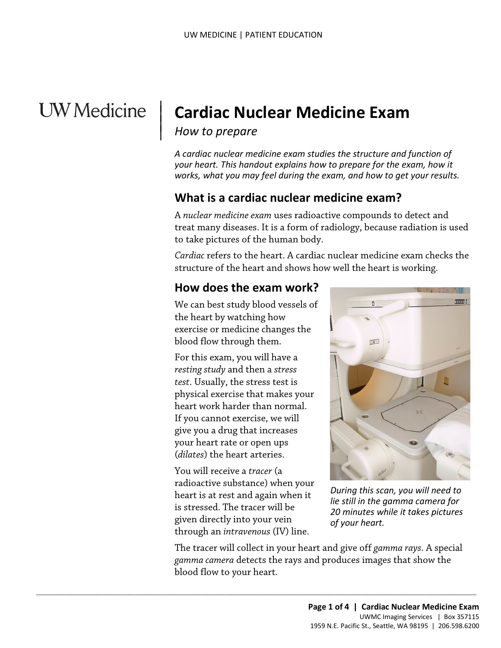# **UW** Medicine

## | **Cardiac Nuclear Medicine Exam**

**How to prepare** 

|

 $\vert$ 

 *your heart. This handout explains how to prepare for the exam, how it A cardiac nuclear medicine exam studies the structure and function of works, what you may feel during the exam, and how to get your results.* 

#### **What is a cardiac nuclear medicine exam?**

A *nuclear medicine exam* uses radioactive compounds to detect and treat many diseases. It is a form of radiology, because radiation is used to take pictures of the human body.

treat many diseases. It is a form of radiology, because radiation<br>to take pictures of the human body.<br>*Cardiac* refers to the heart. A cardiac nuclear medicine exam che<br>structure of the heart and shows how well the heart i *Cardiac* refers to the heart. A cardiac nuclear medicine exam checks the structure of the heart and shows how well the heart is working.

#### **How does the exam work?**

We can best study blood vessels of the heart by watching how exercise or medicine changes the blood flow through them.

 physical exercise that makes your heart work harder than normal. If you cannot exercise, we will your heart rate or open ups For this exam, you will have a *resting study* and then a *stress test*. Usually, the stress test is give you a drug that increases (*dilates*) the heart arteries.

You will receive a *tracer* (a radioactive substance) when your heart is at rest and again when it is stressed. The tracer will be given directly into your vein through an *intravenous* (IV) line.

 $\_$  , and the set of the set of the set of the set of the set of the set of the set of the set of the set of the set of the set of the set of the set of the set of the set of the set of the set of the set of the set of th



*During this scan, you will need to lie still in the gamma camera for 20 minutes while it takes pictures of your heart.* 

The tracer will collect in your heart and give off *gamma rays*. A special *gamma camera* detects the rays and produces images that show the blood flow to your heart.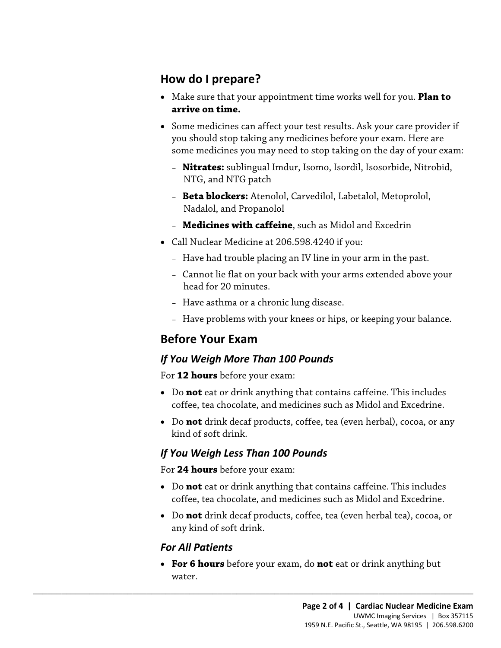#### **How do I prepare?**

- Make sure that your appointment time works well for you. **Plan to arrive on time.**
- you should stop taking any medicines before your exam. Here are • Some medicines can affect your test results. Ask your care provider if some medicines you may need to stop taking on the day of your exam:
	- **Nitrates:** sublingual Imdur, Isomo, Isordil, Isosorbide, Nitrobid, NTG, and NTG patch
	- **Beta blockers:** Atenolol, Carvedilol, Labetalol, Metoprolol, Nadalol, and Propanolol
	- **Medicines with caffeine**, such as Midol and Excedrin
- • Call Nuclear Medicine at 206.598.4240 if you:
	- Have had trouble placing an IV line in your arm in the past.
- Call Nuclear Medicine at 206.598.4240 if you:<br>- Have had trouble placing an IV line in your arm in the past.<br>- Cannot lie flat on your back with your arms extended above you<br>head for 20 minutes.<br>- Have asthma or a chroni – Cannot lie flat on your back with your arms extended above your head for 20 minutes.
	- Have asthma or a chronic lung disease.
	- Have problems with your knees or hips, or keeping your balance.

## **Before Your Exam**

#### *If You Weigh More Than 100 Pounds*

For **12 hours** before your exam:

- Do **not** eat or drink anything that contains caffeine. This includes coffee, tea chocolate, and medicines such as Midol and Excedrine.
- • Do **not** drink decaf products, coffee, tea (even herbal), cocoa, or any kind of soft drink.

#### *If You Weigh Less Than 100 Pounds*

 $\_$  ,  $\_$  ,  $\_$  ,  $\_$  ,  $\_$  ,  $\_$  ,  $\_$  ,  $\_$  ,  $\_$  ,  $\_$  ,  $\_$  ,  $\_$  ,  $\_$  ,  $\_$  ,  $\_$  ,  $\_$  ,  $\_$  ,  $\_$  ,  $\_$  ,  $\_$  ,  $\_$  ,  $\_$  ,  $\_$  ,  $\_$  ,  $\_$  ,  $\_$  ,  $\_$  ,  $\_$  ,  $\_$  ,  $\_$  ,  $\_$  ,  $\_$  ,  $\_$  ,  $\_$  ,  $\_$  ,  $\_$  ,  $\_$  ,

For **24 hours** before your exam:

- Do **not** eat or drink anything that contains caffeine. This includes coffee, tea chocolate, and medicines such as Midol and Excedrine.
- Do **not** drink decaf products, coffee, tea (even herbal tea), cocoa, or any kind of soft drink.

#### *For All Patients*

• **For 6 hours** before your exam, do **not** eat or drink anything but water.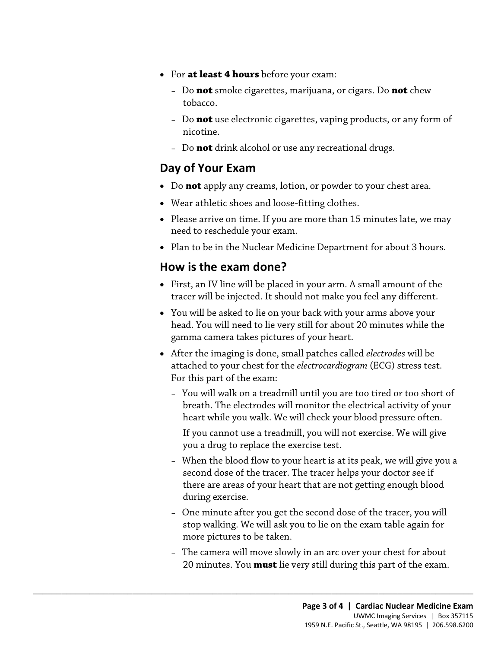- For **at least 4 hours** before your exam:
	- Do **not** smoke cigarettes, marijuana, or cigars. Do **not** chew tobacco.
	- Do **not** use electronic cigarettes, vaping products, or any form of nicotine.
	- Do **not** drink alcohol or use any recreational drugs.

#### **Day of Your Exam**

- Do **not** apply any creams, lotion, or powder to your chest area.
- Wear athletic shoes and loose-fitting clothes.
- Please arrive on time. If you are more than 15 minutes late, we may need to reschedule your exam.
- Plan to be in the Nuclear Medicine Department for about 3 hours.

#### **How is the exam done?**

- First, an IV line will be placed in your arm. A small amount of the tracer will be injected. It should not make you feel any different.
- Plan to be in the Nuclear Medicine Department for about 3 hours.<br> **How is the exam done?**<br>
First, an IV line will be placed in your arm. A small amount of the tracer will be injected. It should not make you feel any di • You will be asked to lie on your back with your arms above your head. You will need to lie very still for about 20 minutes while the gamma camera takes pictures of your heart.
	- After the imaging is done, small patches called *electrodes* will be attached to your chest for the *electrocardiogram* (ECG) stress test. For this part of the exam:
		- breath. The electrodes will monitor the electrical activity of your – You will walk on a treadmill until you are too tired or too short of heart while you walk. We will check your blood pressure often.
			- If you cannot use a treadmill, you will not exercise. We will give you a drug to replace the exercise test.
		- When the blood flow to your heart is at its peak, we will give you a second dose of the tracer. The tracer helps your doctor see if there are areas of your heart that are not getting enough blood during exercise.
		- One minute after you get the second dose of the tracer, you will stop walking. We will ask you to lie on the exam table again for more pictures to be taken.
		- The camera will move slowly in an arc over your chest for about 20 minutes. You **must** lie very still during this part of the exam.

 $\_$  ,  $\_$  ,  $\_$  ,  $\_$  ,  $\_$  ,  $\_$  ,  $\_$  ,  $\_$  ,  $\_$  ,  $\_$  ,  $\_$  ,  $\_$  ,  $\_$  ,  $\_$  ,  $\_$  ,  $\_$  ,  $\_$  ,  $\_$  ,  $\_$  ,  $\_$  ,  $\_$  ,  $\_$  ,  $\_$  ,  $\_$  ,  $\_$  ,  $\_$  ,  $\_$  ,  $\_$  ,  $\_$  ,  $\_$  ,  $\_$  ,  $\_$  ,  $\_$  ,  $\_$  ,  $\_$  ,  $\_$  ,  $\_$  ,